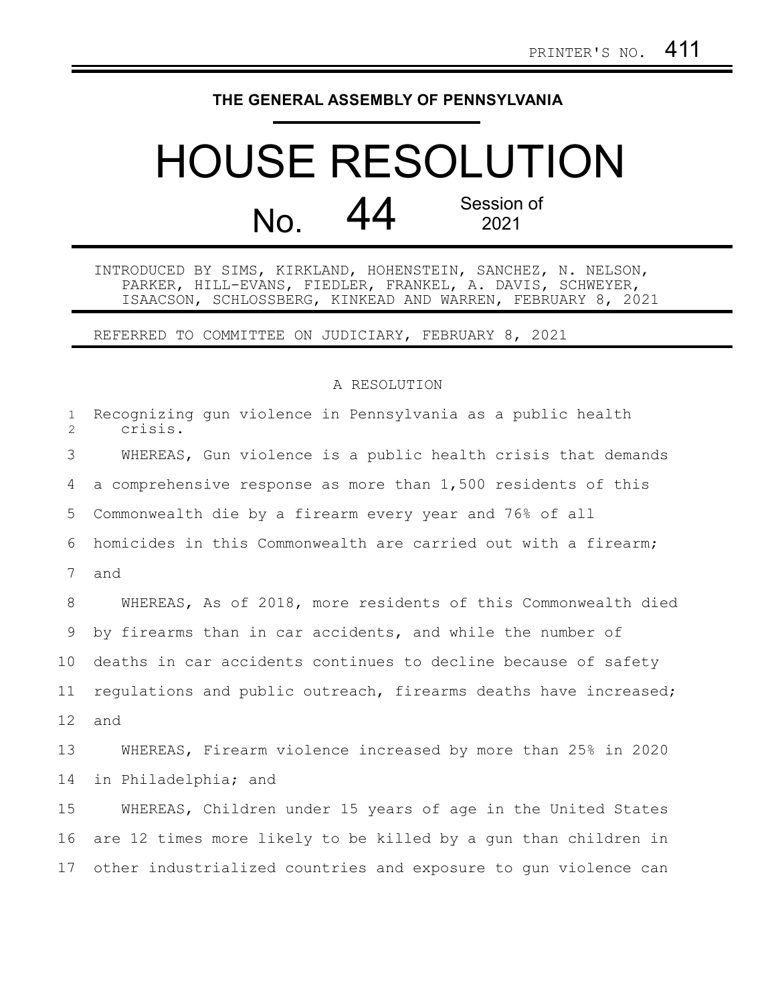## **THE GENERAL ASSEMBLY OF PENNSYLVANIA**

## HOUSE RESOLUTION No. 44 Session of 2021

INTRODUCED BY SIMS, KIRKLAND, HOHENSTEIN, SANCHEZ, N. NELSON, PARKER, HILL-EVANS, FIEDLER, FRANKEL, A. DAVIS, SCHWEYER, ISAACSON, SCHLOSSBERG, KINKEAD AND WARREN, FEBRUARY 8, 2021

REFERRED TO COMMITTEE ON JUDICIARY, FEBRUARY 8, 2021

## A RESOLUTION

| $\mathbf{1}$<br>$\overline{2}$ | Recognizing gun violence in Pennsylvania as a public health<br>crisis. |
|--------------------------------|------------------------------------------------------------------------|
| 3                              | WHEREAS, Gun violence is a public health crisis that demands           |
| 4                              | a comprehensive response as more than 1,500 residents of this          |
| 5                              | Commonwealth die by a firearm every year and 76% of all                |
| 6                              | homicides in this Commonwealth are carried out with a firearm;         |
| 7                              | and                                                                    |
| 8                              | WHEREAS, As of 2018, more residents of this Commonwealth died          |
| 9                              | by firearms than in car accidents, and while the number of             |
| 10 <sub>o</sub>                | deaths in car accidents continues to decline because of safety         |
| 11                             | regulations and public outreach, firearms deaths have increased;       |
| 12                             | and                                                                    |
| 13                             | WHEREAS, Firearm violence increased by more than 25% in 2020           |
| 14                             | in Philadelphia; and                                                   |
| 15                             | WHEREAS, Children under 15 years of age in the United States           |
| 16                             | are 12 times more likely to be killed by a gun than children in        |
| 17                             | other industrialized countries and exposure to gun violence can        |